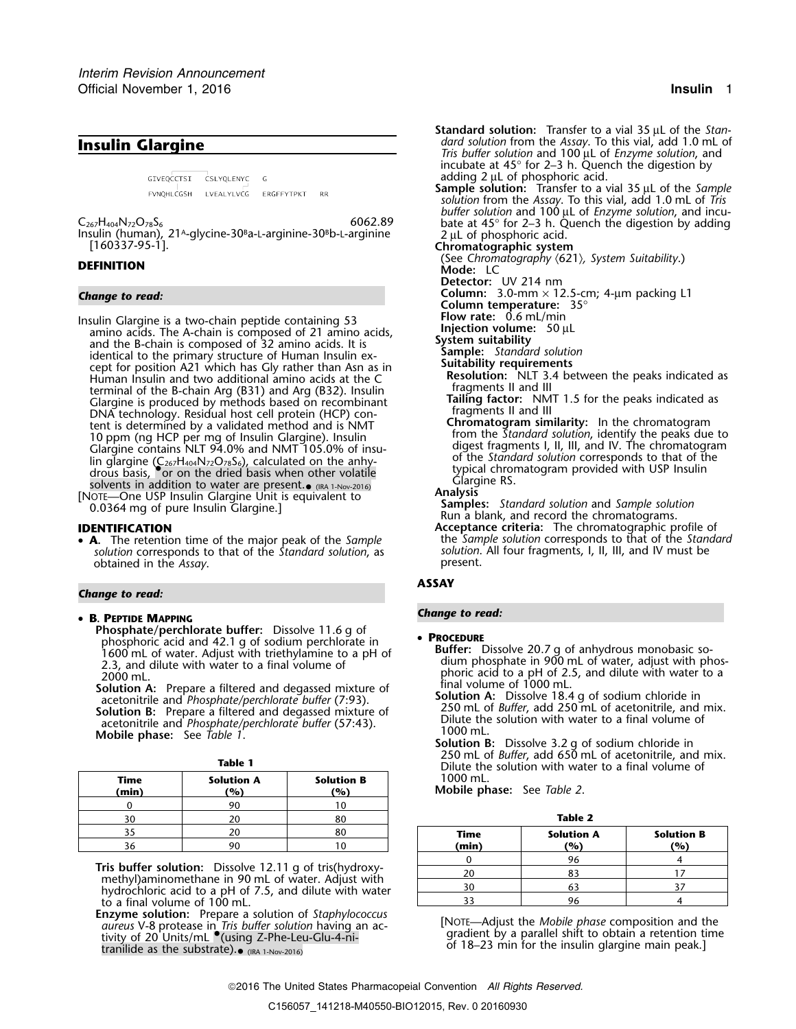GIVEOCCTSI CSLYOLENYC  $-$  G FVNQHLCGSH LVEALYLVCG ERGFFYTPKT RR

Insulin Glargine is a two-chain peptide containing 53<br>
amino acids. The A-chain is composed of 21 amino acids,<br>
and the B-chain is composed of 32 amino acids. It is<br>
identical to the primary structure of Human Insulin ex-Fraction indicate the Contribution of the B-chain Arg  $(B31)$  and Arg  $(B32)$ . Insuling the state of  $\mathbb{R}^3$ Glargine is produced by methods based on recombinant **Tailing factor:** NMT 1.5 for the peaks indicated as DNA technology. Residual host cell protein (HCP) con-<br>
technology. Residual host cell protein (HCP) con-<br> **Chromatogram similarity:** In the chromatogram tent is determined by a validated method and is NMT **Chromatogram similarity:** In the chromatogram from the *Standard solution*, identify the peaks due to 10 ppm (ng HCP) insulin to 10 pm (ng HCP peaks due to 1<br>Clargine contains NLT 94.0% and NMT 105.0% of insultance of digest fragments l, ll, lll, and IV. The chromatog Glargine contains NLT 94.0% and NMT 105.0% of insu-<br>lin glargine  $(C_{\alpha}H_{\alpha}N_{\alpha}S_{\alpha})$  calculated on the anny-<br>din glargine  $(C_{\alpha}H_{\alpha}N_{\alpha}S_{\alpha})$  calculated on the annylin glargine  $(C_{267}H_{404}N_{72}O_{78}S_6)$ , calculated on the anhy-<br>drous basis, or on the dried basis when other volatile<br>solvents in addition to water are present.<br>solvents in addition to water are present.<br> $\bullet$  (its 1-N

*solution* corresponds to that of the *Standard solution*, as *solution*. All four fragments, I, II, III, and IV must be obtained in the *Assay*.

### *Change to read:*

# *Change to read:* • **B. PEPTIDE MAPPING**

**Phosphate/perchlorate buffer:** Dissolve 11.6 g of **• PROCEDURE**<br>phosphoric acid and 42.1 g of sodium perchlorate in **• PROCEDURE** 

Procedure<br>
The phosphoric acid and 42.1 g of sodium perchlorate in<br>
2.3, and dilute with water to a final volume of<br>
2000 mL.<br>
Solution A: Prepare a filtered and degassed mixture of<br>
acetonitrile and *Phosphate/perchlorate* acetonitrile and *Phosphate/perchlorate buffer* (57:43).<br>Mobile phase: See *Table 1*. **Solution B:** Dissolve 3.2 g of sodium chloride in **Solution B:** Dissolve 3.2 g of sodium chloride in

|                 | Dilute the solution with wate          | Table 1                  |                          |               |  |  |
|-----------------|----------------------------------------|--------------------------|--------------------------|---------------|--|--|
|                 | 1000 mL.<br>Mobile phase: See Table 2. | <b>Solution B</b><br>(%) | <b>Solution A</b><br>(%) | Time<br>(min) |  |  |
|                 |                                        |                          | 90                       |               |  |  |
| <b>Table 2</b>  |                                        | 80                       | 20                       | 30            |  |  |
| <b>Solution</b> | Time                                   | 80                       | 20                       | 35            |  |  |
| (%)             | (min)                                  |                          | 90                       |               |  |  |

**Tris buffer solution:** Dissolve 12.11 g of tris(hydroxy-<br>methyl)aminomethane in 90 mL of water. Adjust with<br>hydrochloric acid to a pH of 7.5, and dilute with water to a final volume of  $100$  mL.

Enzyme solution: Prepare a solution of *Staphylococcus*<br>
aureus V-8 protease in *Tris buffer solution* having an ac-<br>
tivity of 20 Units/mL (using Z-Phe-Leu-Glu-4-ni-<br>
tranilide as the substrate) a gua by available as the tranilide as the substrate).  $\bullet$  (IRA 1-Nov-2016)

**Standard solution:** Transfer to a vial 35 µL of the *Stan-***Insulin Glargine Insulin Glargine Insuling Clarging** *Tris buffer solution* from the *Assay*. Io this vial, add 1.0 mL of *Enzyme solution*, and **Insularity** *Tris buffer solution* and 100 µL of *Enzyme solution*, and incubate at 45° for 2–3 h. Quench the digestion by adding 2 µL of phosphoric acid. **Sample solution:** Transfer to a vial 35 µL of the *Sample solution* from the *Assay*. To this vial, add 1.0 mL of *Tris buffer solution* and 100 µL of *Enzyme solution*, and incu-C<sub>267</sub>H<sub>404</sub>N<sub>72</sub>O<sub>78</sub>S<sub>6</sub><br>Insulin (human), 21<sup>A</sup>-glycine-30<sup>B</sup>a-L-arginine-30<sup>B</sup>b-L-arginine 2 µL of phosphoric acid.<br>[160337-95-1]. **Chromatographic system**<br>**Chromatographic system** (See *Chromatography* 〈621〉*, System Suitability*.) **DEFINITION Mode:** LC **Detector:** UV 214 nm *Change to read:* **Column:** 3.0-mm × 12.5-cm; 4-µm packing L1 **Column temperature: 35°**<br>**Flow rate: 0.6 mL/min Resolution:** NLT 3.4 between the peaks indicated as fragments II and III [NOTE—One USP Insulin Glargine Unit is equivalent to<br>0.0364 mg of pure Insulin Glargine.]<br>**IDENTIFICATION** Run a blank, and record the chromatograms.<br>**IDENTIFICATION** Acceptance criteria: The chromatographic profil

**Acceptance criteria:** The chromatographic profile of the *Sample solution* corresponds to that of the *Standard* • **<sup>A</sup>.** The retention time of the major peak of the *Sample* the *Sample solution* corresponds to that of the *Standard*

## **ASSAY**

- 
- 250 mL of *Buffer*, add 650 mL of acetonitrile, and mix. Dilute the solution with water to a final volume of **Time Solution A Solution B** 1000 mL.

|                                                                                                                                                                                      |    | 80 | Time  | <b>Solution A</b> | <b>Solution B</b> |
|--------------------------------------------------------------------------------------------------------------------------------------------------------------------------------------|----|----|-------|-------------------|-------------------|
| 36                                                                                                                                                                                   | 90 |    | (min) | (%)               | (%)               |
| uffer solution: Dissolve 12.11 g of tris(hydroxy-<br>yl)aminomethane in 90 mL of water. Adjust with<br>ochloric acid to a pH of 7.5, and dilute with water<br>final volume of 100 ml |    |    |       | 96                |                   |
|                                                                                                                                                                                      |    |    | 20    |                   |                   |
|                                                                                                                                                                                      |    |    | 30    | 63                |                   |
|                                                                                                                                                                                      |    |    |       |                   |                   |

2016 The United States Pharmacopeial Convention *All Rights Reserved.*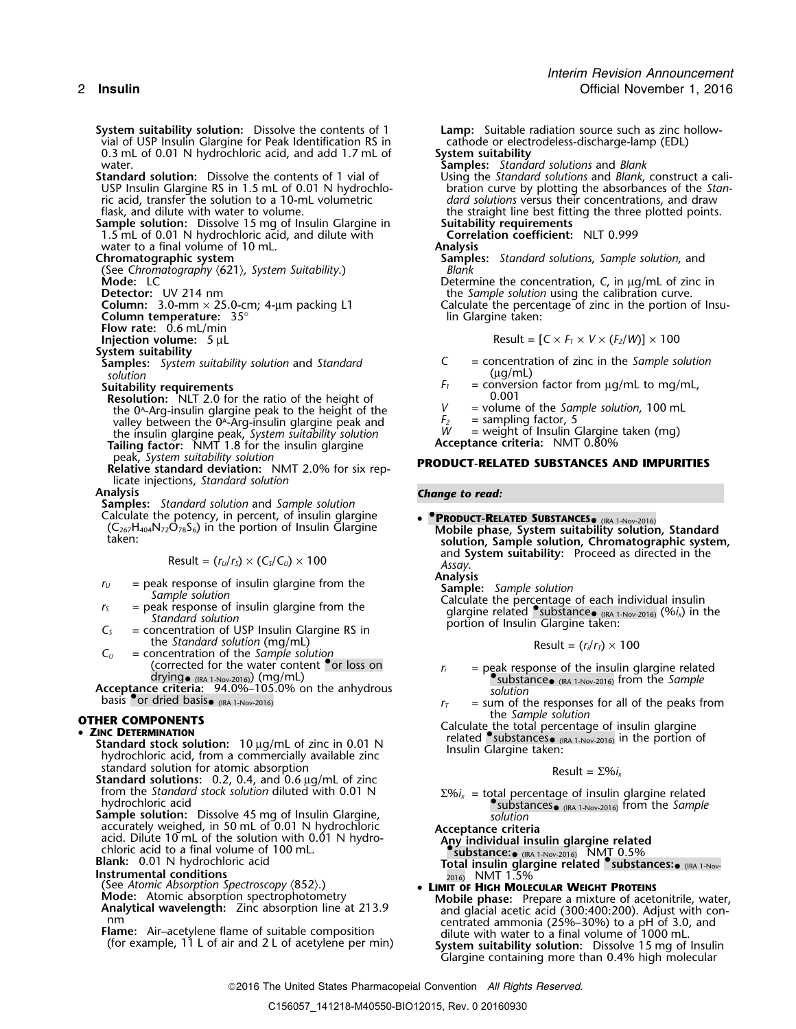- **System suitability solution:** Dissolve the contents of 1 **Lamp:** Suitable radiation source such as zinc hollow-<br>vial of USP Insulin Glargine for Peak Identification RS in cathode or electrodeless-discharge-lamp (EDL) vial of USP Insulin Glargine for Peak Identification RS in cathode or elect 0.3 mL of 0.01 N hydrochloric acid, and add 1.7 mL of System suitability 0.3 mL of 0.01 N hydrochloric acid, and add 1.7 mL of water. water. **Samples:** *Standard solutions* and *Blank*
- **Standard solution:** Dissolve the contents of 1 vial of Using the *Standard solutions* and *Blank*, construct a caliric acid, transfer the solution to a 10-mL volumetric *dard solutions* versus their concentrations, and draw
- **Sample solution:** Dissolve 15 mg of Insulin Glargine in **Suitability requirements**<br>1.5 mL of 0.01 N hydrochloric acid, and dilute with **Correlation coefficient:** NLT 0.999 1.5 mL of 0.01 N hydrochloric acid, and dilute with **Correl**<br>water to a final volume of 10 mL. water to a final volume of 10 mL.<br>**Chromatographic system**
- 

(See *Chromatography* 〈621〉*, System Suitability*.) *Blank*

**Column:** 3.0-mm  $\times$  25.0-cm; 4-µm packing L1

- **Column temperature:**  $35^\circ$  **lin Glargine taken:**
- **Flow rate:** 0.6 mL/min
- **Injection volume:**  $5 \mu L$
- **System suitability**
- (µg/mL) *solution*
- 
- **Resolution:** NLT 2.0 for the ratio of the height of  $V = 0.001$ <br>the 0<sup>A</sup>-Arg-insulin glargine peak to the height of the  $V =$  volume of the *Sample solution*, 100 mL the 0<sup>A</sup>-Arg-insulin glargine peak to the height of the *V* = volume of the *San* valley between the 0<sup>A</sup>-Arg-insulin glargine peak and  $F_2$  = sampling factor, 5 valley between the 0<sup>A</sup>-Arg-insulin glargine peak and  $F_2$  = sampling factor, 5<br>the insulin glargine peak System suitability solution  $W$  = weight of Insulin Glargine taken (mg) the insulin glargine peak, *System suitability solution* M = weight of Insulin Glargine taken (mg) **Tailing factor:** NMT 1.8 for the insulin glargine **Acceptance criteria:** NMT 0.80%
- peak, *System suitability solution* **PRODUCT-RELATED SUBSTANCES AND IMPURITIES Relative standard deviation:** NMT 2.0% for six replicate injections, *Standard solution*

**Samples:** *Standard solution and Sample solution*<br>**Calculate the potency, in percent, of insulin glargine <b>Change to read: SUBSTANCES** (IRA 1-Nov-2016) Calculate the potency, in percent, of insulin glargine  $(C_{267}H_{404}N_{72}O_{78}S_6)$  in the portion of Insulin Glargine

- 
- 
- 
- $C_U$  = concentration of the *Sample solution*<br>(corrected for the water content <sup>or</sup> loss on

basis or dried basis  $(IRA 1-Nov-2016)$ 

- IRC DETERMINATION<br>
Standard stock solution: 10 μg/mL of zinc in 0.01 N related substances in the portion of a commercially available zinc<br>
standard solution for atomic absorption<br>
Re
	- standard solution for atomic absorption<br> **Standard solutions:** 0.2, 0.4, and 0.6 μg/mL of zinc<br>
	from the *Standard stock solution* diluted with 0.01 N<br>
	Σ%*i*<sub>γ</sub> = total percentage of insulin
	- **Sample solution:** Dissolve 45 mg of Insulin Glargine, *Solution*<br>accurately weighed, in 50 mL of 0.01 N hydrochloric **Acceptance criter** accurately weighed, in 50 mL of 0.01 N hydrochloric **Acceptance criteria**<br>acid. Dilute 10 mL of the solution with 0.01 N hydro-**Any individual insulin glargine related**<br>Chloric acid to a final volume of 100 mL.<br>**Chloric ac**
	-
	-
	-
	-
	-
	-

USP Insulin Glargine RS in 1.5 mL of 0.01 N hydrochlo-<br>
ric acid, transfer the solution to a 10-mL volumetric *dard solutions* versus their concentrations, and draw the straight line best fitting the three plotted points.<br>Suitability requirements

- 
- **Samples:** *Standard solutions, Sample solution, and Blank*
- **Mode:** LC Determine the concentration, *C*, in µg/mL of zinc in<br>
Detector: UV 214 nm

the *Sample solution* using the calibration curve.<br>Calculate the percentage of zinc in the portion of Insu-

$$
Result = [C \times F_1 \times V \times (F_2/W)] \times 100
$$

- **Samples:** *System suitability solution* and *Standard <sup>C</sup>* = concentration of zinc in the *Sample solution*
- **Suitability requirements**  $F_1$  = conversion factor from  $\mu$ g/mL to mg/mL,<br>**Resolution:** NIT 2.0 for the ratio of the height of  $\mu$  0.001
	-
	-
	-

- 
- (C<sub>267</sub>H<sub>404</sub>N<sub>72</sub>O<sub>78</sub>S<sub>6</sub>) in the portion of Insulin Glargine **Mobile phase, System suitability solution, Standard**<br>**solution, Sample solution, Chromatographic system,**  $\text{Result} = (r_U/r_S) \times (C_S/C_U) \times 100$  and **System suitability:** Proceed as directed in the Assay.<br>**Analysis Analysis**

 $r_0$  = peak response of insulin glargine from the<br>
Sample solution<br>  $r_5$  = peak response of insulin glargine from the<br>
Standard solution<br>
Standard solution<br>
Standard solution<br>
Standard solution<br>
Standard solution<br>
Stand  $C_S$  = peak response of insulin glargine from the *Standard solution*<br>  $C_S$  = concentration of USP Insulin Glargine RS in<br>
the *Standard solution* (mg/mL) **portion of Insulin Glargine taken:**<br>
Result =  $(r/r_r) \times 100$ 

$$
Result = (r_i/r_{\bar{t}}) \times 100
$$

- $r_i$  = peak response of the insulin glargine related **•**. **peak response of the insulin glargine related** drying<sub>• (IRA 1-Nov-2016</sub>) (mg/mL)<br>**Acceptance criteria:** 94.0%–105.0% on the anhydrous *solution solution* 
	- $r_T$  = sum of the responses for all of the peaks from<br>the *Sample solution*
- **OTHER COMPONENTS**<br>■ Calculate the total percentage of insulin glargine<br>Felated •substances• (IRA 1-Nov-2016) in the portion

from the *Standard stock solution* diluted with 0.01 N  $\Sigma\%i_x = \text{total}$  percentage of insulin glargine related hydrochloric acid •.<br>And *Substances•* (ika 1-Nov-2016) from the *Sample* 

**Blank:** 0.01 N hydrochloric acid **Total insulin glargine related •.substances:**• (IRA 1-Nov-**Instrumental conditions** 2016) NMT 1.5% (See *Atomic Absorption Spectroscopy* 〈852〉.) • **LIMIT OF HIGH MOLECULAR WEIGHT PROTEINS**

- 
- (See Atomic Absorption Spectroscopy (852).)<br> **EINIT OF HIGH MOLECULAR WEIGHT PROTEINS**<br> **Mobile phase:** Prepare a mixture of acetonitrile, water,<br> **Analytical wavelength:** Zinc absorption line at 213.9<br>
nm contrated ammoni nm<br>**Flame:** Air–acetylene flame of suitable composition **Flame:** Air–acetylene flame of suitable composition dilute with water to a final volume of 1000 mL.<br>(for example, 11 L of air and 2 L of acetylene per min) **System s** (for example, 11 L of air and 2 L of acetylene per min) **System suitability solution:** Dissolve 15 mg of Insulin Glargine containing more than 0.4% high molecular

2016 The United States Pharmacopeial Convention *All Rights Reserved.*